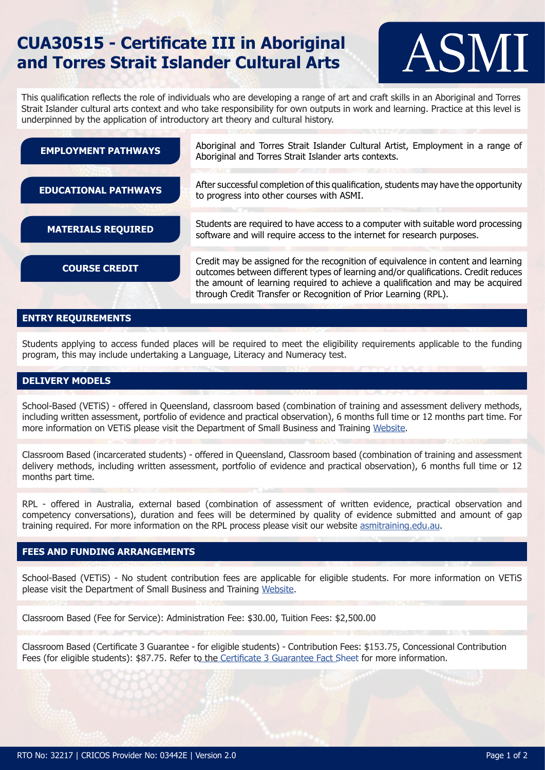# **CUA30515 - Certificate III in Aboriginal and Torres Strait Islander Cultural Arts**



This qualification reflects the role of individuals who are developing a range of art and craft skills in an Aboriginal and Torres Strait Islander cultural arts context and who take responsibility for own outputs in work and learning. Practice at this level is underpinned by the application of introductory art theory and cultural history.

| <b>EMPLOYMENT PATHWAYS</b>  | Aboriginal and Torres Strait Islander Cultural Artist, Employment in a range of<br>Aboriginal and Torres Strait Islander arts contexts.                                                                                                                                                                                      |
|-----------------------------|------------------------------------------------------------------------------------------------------------------------------------------------------------------------------------------------------------------------------------------------------------------------------------------------------------------------------|
|                             |                                                                                                                                                                                                                                                                                                                              |
| <b>EDUCATIONAL PATHWAYS</b> | After successful completion of this qualification, students may have the opportunity<br>to progress into other courses with ASMI.                                                                                                                                                                                            |
|                             |                                                                                                                                                                                                                                                                                                                              |
| <b>MATERIALS REQUIRED</b>   | Students are required to have access to a computer with suitable word processing<br>software and will require access to the internet for research purposes.                                                                                                                                                                  |
|                             |                                                                                                                                                                                                                                                                                                                              |
| <b>COURSE CREDIT</b>        | Credit may be assigned for the recognition of equivalence in content and learning<br>outcomes between different types of learning and/or qualifications. Credit reduces<br>the amount of learning required to achieve a qualification and may be acquired<br>through Credit Transfer or Recognition of Prior Learning (RPL). |
|                             |                                                                                                                                                                                                                                                                                                                              |

### **ENTRY REQUIREMENTS**

Students applying to access funded places will be required to meet the eligibility requirements applicable to the funding program, this may include undertaking a Language, Literacy and Numeracy test.

### **DELIVERY MODELS**

School-Based (VETiS) - offered in Queensland, classroom based (combination of training and assessment delivery methods, including written assessment, portfolio of evidence and practical observation), 6 months full time or 12 months part time. For more information on VETiS please visit the Department of Small Business and Training [Website](https://training.qld.gov.au/training/incentives/vetis).

Classroom Based (incarcerated students) - offered in Queensland, Classroom based (combination of training and assessment delivery methods, including written assessment, portfolio of evidence and practical observation), 6 months full time or 12 months part time.

RPL - offered in Australia, external based (combination of assessment of written evidence, practical observation and competency conversations), duration and fees will be determined by quality of evidence submitted and amount of gap training required. For more information on the RPL process please visit our website [asmitraining.edu.au](http://asmitraining.edu.au/apply-for-rpl/).

### **FEES AND FUNDING ARRANGEMENTS**

School-Based (VETiS) - No student contribution fees are applicable for eligible students. For more information on VETiS please visit the Department of Small Business and Training [Website](https://training.qld.gov.au/training/incentives/vetis).

Classroom Based (Fee for Service): Administration Fee: \$30.00, Tuition Fees: \$2,500.00

Classroom Based (Certificate 3 Guarantee - for eligible students) - Contribution Fees: \$153.75, Concessional Contribution Fees (for eligible students): \$87.75. Refer to the Certificate 3 [Guarantee](https://training.qld.gov.au/site/providers/Documents/funded/certificate3/c3g-factsheet-student.pdf) Fact Sheet for more information.